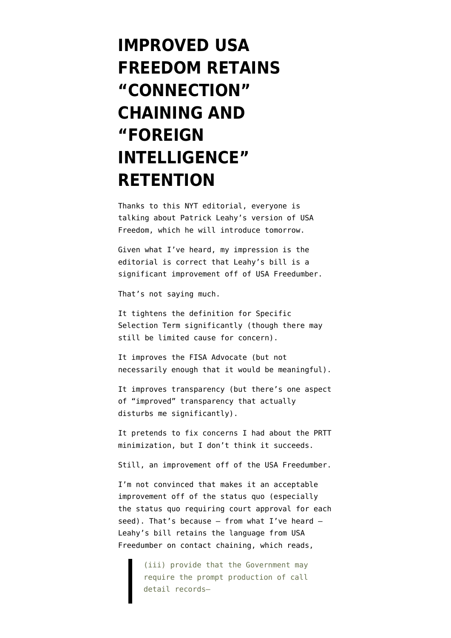## **[IMPROVED USA](https://www.emptywheel.net/2014/07/28/improved-usa-freedom-retains-connection-chaining-and-foreign-intelligence-retention/) [FREEDOM RETAINS](https://www.emptywheel.net/2014/07/28/improved-usa-freedom-retains-connection-chaining-and-foreign-intelligence-retention/) ["CONNECTION"](https://www.emptywheel.net/2014/07/28/improved-usa-freedom-retains-connection-chaining-and-foreign-intelligence-retention/) [CHAINING AND](https://www.emptywheel.net/2014/07/28/improved-usa-freedom-retains-connection-chaining-and-foreign-intelligence-retention/) ["FOREIGN](https://www.emptywheel.net/2014/07/28/improved-usa-freedom-retains-connection-chaining-and-foreign-intelligence-retention/) [INTELLIGENCE"](https://www.emptywheel.net/2014/07/28/improved-usa-freedom-retains-connection-chaining-and-foreign-intelligence-retention/) [RETENTION](https://www.emptywheel.net/2014/07/28/improved-usa-freedom-retains-connection-chaining-and-foreign-intelligence-retention/)**

Thanks to this [NYT editorial](http://www.nytimes.com/2014/07/28/opinion/a-stronger-bill-to-limit-surveillance.html), everyone is talking about Patrick Leahy's version of USA Freedom, which he will introduce tomorrow.

Given what I've heard, my impression is the editorial is correct that Leahy's bill is a significant improvement off of USA Freedumber.

That's not saying much.

It tightens the definition for Specific Selection Term significantly (though there may still be limited cause for concern).

It improves the FISA Advocate (but not necessarily enough that it would be meaningful).

It improves transparency (but there's one aspect of "improved" transparency that actually disturbs me significantly).

It pretends to fix concerns I had about the PRTT minimization, but I don't think it succeeds.

Still, an improvement off of the USA Freedumber.

I'm not convinced that makes it an acceptable improvement off of the status quo (especially the status quo requiring court approval for each seed). That's because  $-$  from what I've heard  $-$ Leahy's bill retains the language from [USA](https://s3.amazonaws.com/s3.documentcloud.org/documents/1164932/113h3361-flr-ans-001-xml.pdf) [Freedumber](https://s3.amazonaws.com/s3.documentcloud.org/documents/1164932/113h3361-flr-ans-001-xml.pdf) on contact chaining, which reads,

> (iii) provide that the Government may require the prompt production of call detail records—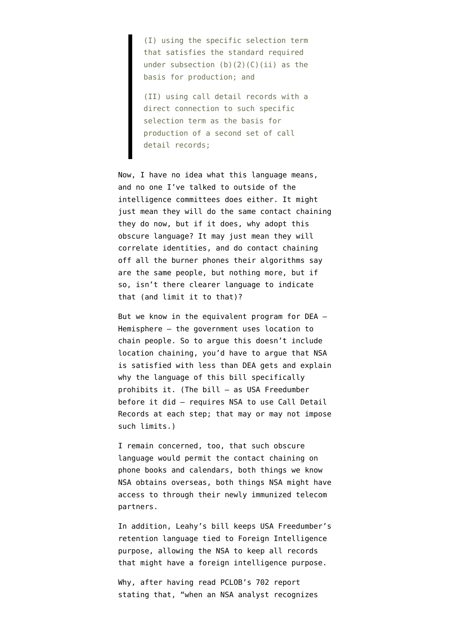(I) using the specific selection term that satisfies the standard required under subsection  $(b)(2)(C)(ii)$  as the basis for production; and

(II) using call detail records with a direct connection to such specific selection term as the basis for production of a second set of call detail records;

Now, I have no idea what this language means, and no one I've talked to outside of the intelligence committees does either. It might just mean they will do the same contact chaining they do now, but if it does, why adopt this obscure language? It may just mean they will correlate identities, and do contact chaining off all the burner phones their algorithms say are the same people, but nothing more, but if so, isn't there clearer language to indicate that (and limit it to that)?

But we know in the equivalent program for DEA — Hemisphere — the government uses location to chain people. So to argue this doesn't include location chaining, you'd have to argue that NSA is satisfied with less than DEA gets and explain why the language of this bill specifically prohibits it. (The bill — as USA Freedumber before it did — requires NSA to use Call Detail Records at each step; that may or may not impose such limits.)

I remain concerned, too, that such obscure language would permit the contact chaining on phone books and calendars, both things we know NSA obtains overseas, both things NSA might have access to through their newly immunized telecom partners.

In addition, Leahy's bill keeps USA Freedumber's retention language tied to Foreign Intelligence purpose, allowing the NSA to keep all records that might have a foreign intelligence purpose.

Why, after having read [PCLOB's 702 report](http://www.pclob.gov/All%20Documents/Report%20on%20the%20Section%20702%20Program/PCLOB-Section-702-Report.pdf) [stating](http://www.pclob.gov/All%20Documents/Report%20on%20the%20Section%20702%20Program/PCLOB-Section-702-Report.pdf) that, "when an NSA analyst recognizes